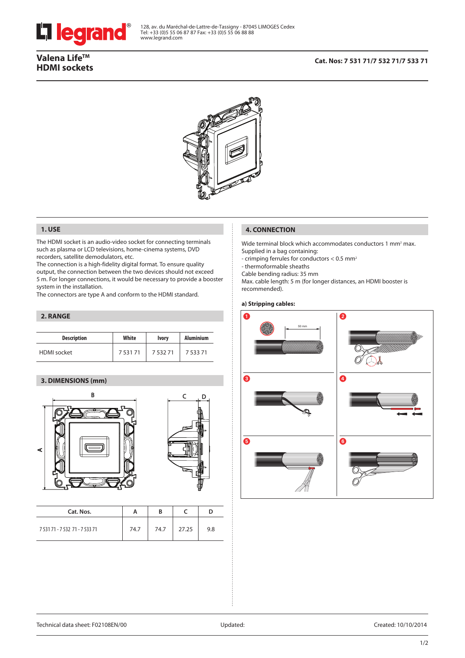

# Valena Life<sup>™</sup> **HDMI sockets**

## **Cat. Nos: 7 531 71/7 532 71/7 533 71**



### **1. USE**

The HDMI socket is an audio-video socket for connecting terminals such as plasma or LCD televisions, home-cinema systems, DVD recorders, satellite demodulators, etc.

The connection is a high-fidelity digital format. To ensure quality output, the connection between the two devices should not exceed 5 m. For longer connections, it would be necessary to provide a booster system in the installation.

The connectors are type A and conform to the HDMI standard.

### **2. RANGE**

| <b>Description</b> | White  | <b>Ivory</b> | <b>Aluminium</b> |
|--------------------|--------|--------------|------------------|
| <b>HDMI</b> socket | 753171 | 753271       | 7 5 3 3 7 1      |

# **3. DIMENSIONS (mm)**





| Cat. Nos.                      | A    |      |       |     |
|--------------------------------|------|------|-------|-----|
| 7 531 71 - 7 532 71 - 7 533 71 | 74.7 | 74.7 | 27.25 | 9.8 |

## **4. CONNECTION**

Wide terminal block which accommodates conductors 1 mm<sup>2</sup> max. Supplied in a bag containing:

- crimping ferrules for conductors < 0.5 mm2

- thermoformable sheaths

Cable bending radius: 35 mm

Max. cable length: 5 m (for longer distances, an HDMI booster is recommended).

## **a) Stripping cables:**